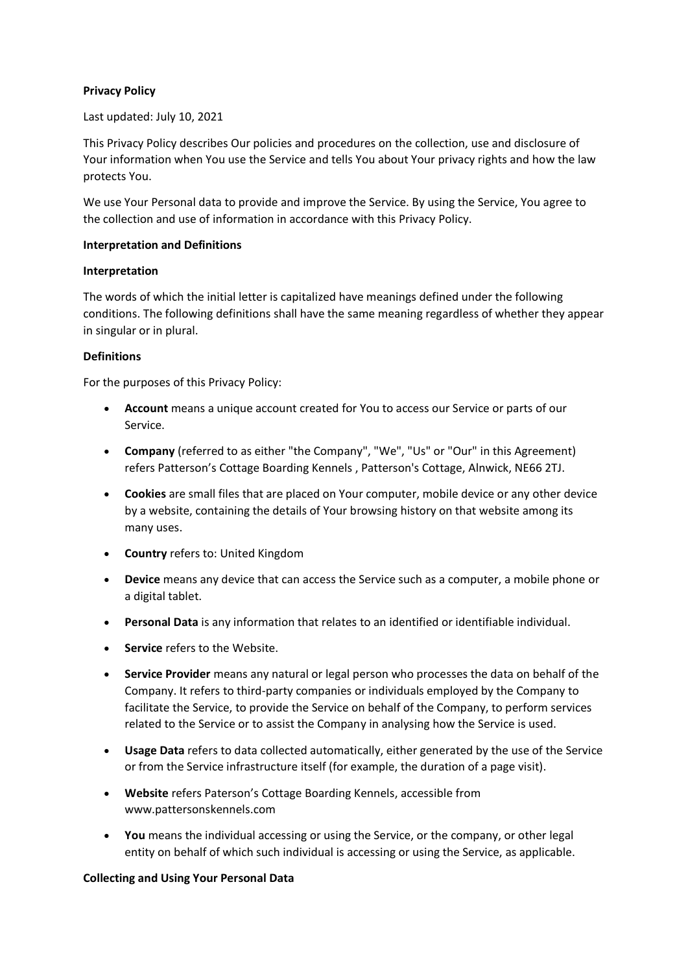# **Privacy Policy**

### Last updated: July 10, 2021

This Privacy Policy describes Our policies and procedures on the collection, use and disclosure of Your information when You use the Service and tells You about Your privacy rights and how the law protects You.

We use Your Personal data to provide and improve the Service. By using the Service, You agree to the collection and use of information in accordance with this Privacy Policy.

#### **Interpretation and Definitions**

#### **Interpretation**

The words of which the initial letter is capitalized have meanings defined under the following conditions. The following definitions shall have the same meaning regardless of whether they appear in singular or in plural.

# **Definitions**

For the purposes of this Privacy Policy:

- **Account** means a unique account created for You to access our Service or parts of our Service.
- **Company** (referred to as either "the Company", "We", "Us" or "Our" in this Agreement) refers Patterson's Cottage Boarding Kennels , Patterson's Cottage, Alnwick, NE66 2TJ.
- **Cookies** are small files that are placed on Your computer, mobile device or any other device by a website, containing the details of Your browsing history on that website among its many uses.
- **Country** refers to: United Kingdom
- **Device** means any device that can access the Service such as a computer, a mobile phone or a digital tablet.
- **Personal Data** is any information that relates to an identified or identifiable individual.
- **Service** refers to the Website.
- **Service Provider** means any natural or legal person who processes the data on behalf of the Company. It refers to third-party companies or individuals employed by the Company to facilitate the Service, to provide the Service on behalf of the Company, to perform services related to the Service or to assist the Company in analysing how the Service is used.
- **Usage Data** refers to data collected automatically, either generated by the use of the Service or from the Service infrastructure itself (for example, the duration of a page visit).
- **Website** refers Paterson's Cottage Boarding Kennels, accessible from www.pattersonskennels.com
- **You** means the individual accessing or using the Service, or the company, or other legal entity on behalf of which such individual is accessing or using the Service, as applicable.

#### **Collecting and Using Your Personal Data**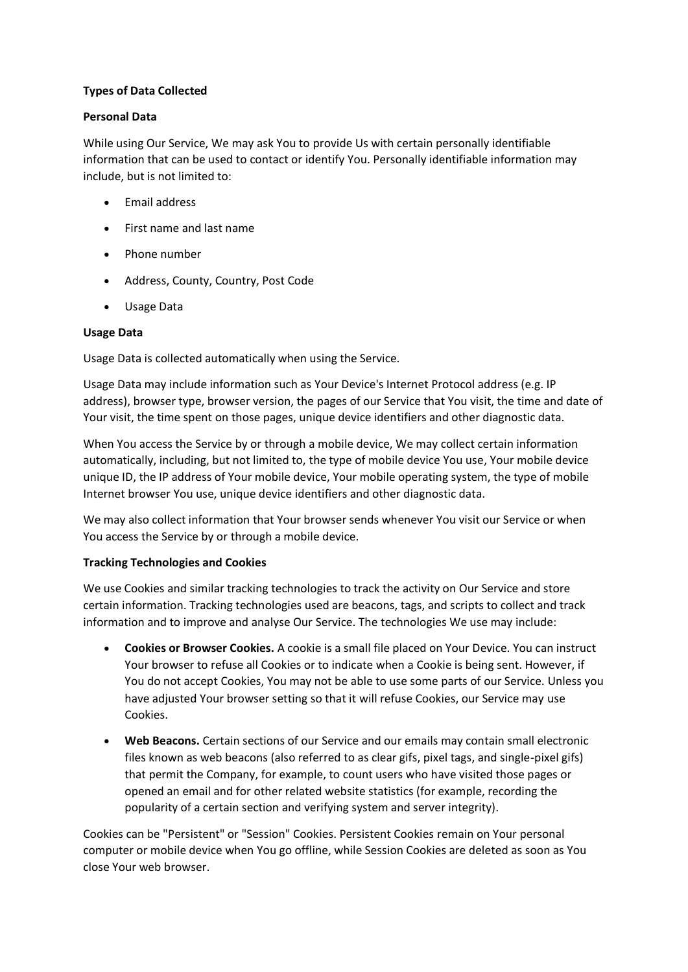# **Types of Data Collected**

# **Personal Data**

While using Our Service, We may ask You to provide Us with certain personally identifiable information that can be used to contact or identify You. Personally identifiable information may include, but is not limited to:

- Email address
- First name and last name
- Phone number
- Address, County, Country, Post Code
- Usage Data

#### **Usage Data**

Usage Data is collected automatically when using the Service.

Usage Data may include information such as Your Device's Internet Protocol address (e.g. IP address), browser type, browser version, the pages of our Service that You visit, the time and date of Your visit, the time spent on those pages, unique device identifiers and other diagnostic data.

When You access the Service by or through a mobile device, We may collect certain information automatically, including, but not limited to, the type of mobile device You use, Your mobile device unique ID, the IP address of Your mobile device, Your mobile operating system, the type of mobile Internet browser You use, unique device identifiers and other diagnostic data.

We may also collect information that Your browser sends whenever You visit our Service or when You access the Service by or through a mobile device.

#### **Tracking Technologies and Cookies**

We use Cookies and similar tracking technologies to track the activity on Our Service and store certain information. Tracking technologies used are beacons, tags, and scripts to collect and track information and to improve and analyse Our Service. The technologies We use may include:

- **Cookies or Browser Cookies.** A cookie is a small file placed on Your Device. You can instruct Your browser to refuse all Cookies or to indicate when a Cookie is being sent. However, if You do not accept Cookies, You may not be able to use some parts of our Service. Unless you have adjusted Your browser setting so that it will refuse Cookies, our Service may use Cookies.
- **Web Beacons.** Certain sections of our Service and our emails may contain small electronic files known as web beacons (also referred to as clear gifs, pixel tags, and single-pixel gifs) that permit the Company, for example, to count users who have visited those pages or opened an email and for other related website statistics (for example, recording the popularity of a certain section and verifying system and server integrity).

Cookies can be "Persistent" or "Session" Cookies. Persistent Cookies remain on Your personal computer or mobile device when You go offline, while Session Cookies are deleted as soon as You close Your web browser.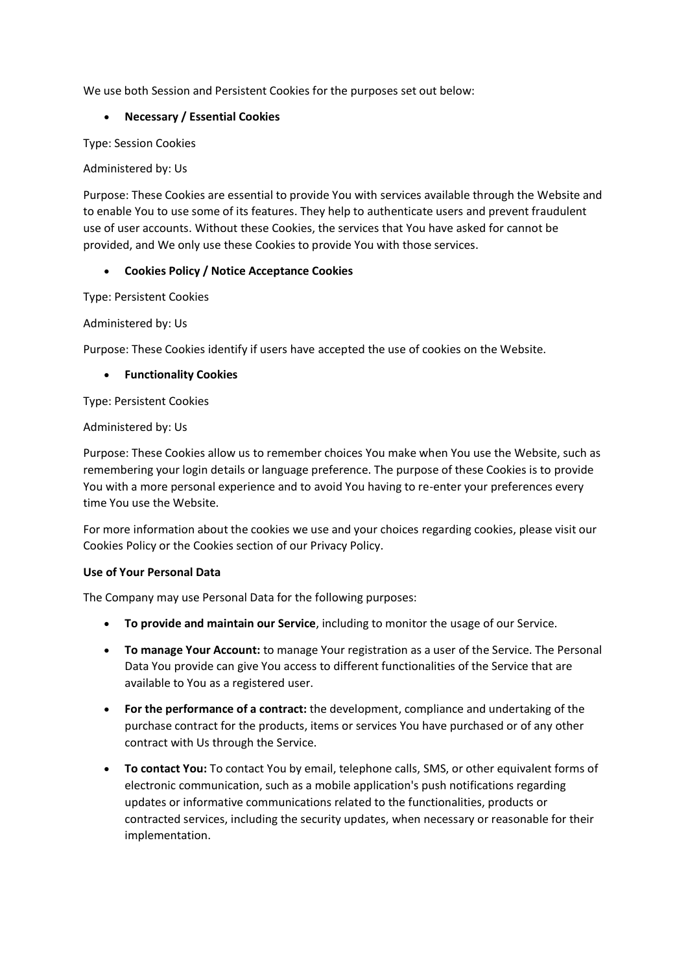We use both Session and Persistent Cookies for the purposes set out below:

# • **Necessary / Essential Cookies**

Type: Session Cookies

Administered by: Us

Purpose: These Cookies are essential to provide You with services available through the Website and to enable You to use some of its features. They help to authenticate users and prevent fraudulent use of user accounts. Without these Cookies, the services that You have asked for cannot be provided, and We only use these Cookies to provide You with those services.

# • **Cookies Policy / Notice Acceptance Cookies**

Type: Persistent Cookies

Administered by: Us

Purpose: These Cookies identify if users have accepted the use of cookies on the Website.

# • **Functionality Cookies**

Type: Persistent Cookies

# Administered by: Us

Purpose: These Cookies allow us to remember choices You make when You use the Website, such as remembering your login details or language preference. The purpose of these Cookies is to provide You with a more personal experience and to avoid You having to re-enter your preferences every time You use the Website.

For more information about the cookies we use and your choices regarding cookies, please visit our Cookies Policy or the Cookies section of our Privacy Policy.

#### **Use of Your Personal Data**

The Company may use Personal Data for the following purposes:

- **To provide and maintain our Service**, including to monitor the usage of our Service.
- **To manage Your Account:** to manage Your registration as a user of the Service. The Personal Data You provide can give You access to different functionalities of the Service that are available to You as a registered user.
- **For the performance of a contract:** the development, compliance and undertaking of the purchase contract for the products, items or services You have purchased or of any other contract with Us through the Service.
- **To contact You:** To contact You by email, telephone calls, SMS, or other equivalent forms of electronic communication, such as a mobile application's push notifications regarding updates or informative communications related to the functionalities, products or contracted services, including the security updates, when necessary or reasonable for their implementation.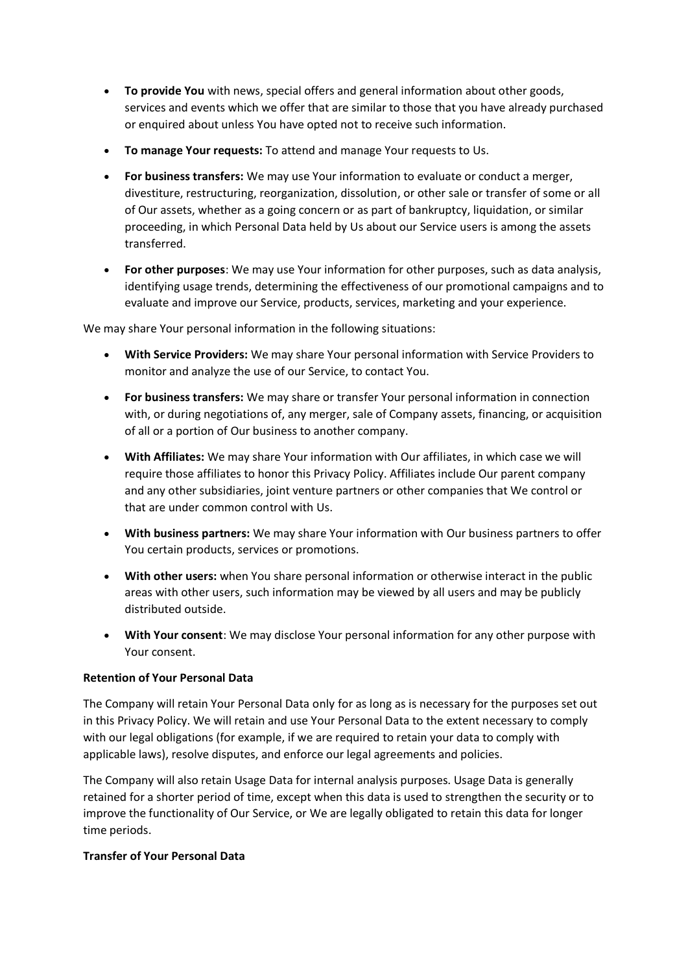- **To provide You** with news, special offers and general information about other goods, services and events which we offer that are similar to those that you have already purchased or enquired about unless You have opted not to receive such information.
- **To manage Your requests:** To attend and manage Your requests to Us.
- **For business transfers:** We may use Your information to evaluate or conduct a merger, divestiture, restructuring, reorganization, dissolution, or other sale or transfer of some or all of Our assets, whether as a going concern or as part of bankruptcy, liquidation, or similar proceeding, in which Personal Data held by Us about our Service users is among the assets transferred.
- **For other purposes**: We may use Your information for other purposes, such as data analysis, identifying usage trends, determining the effectiveness of our promotional campaigns and to evaluate and improve our Service, products, services, marketing and your experience.

We may share Your personal information in the following situations:

- **With Service Providers:** We may share Your personal information with Service Providers to monitor and analyze the use of our Service, to contact You.
- **For business transfers:** We may share or transfer Your personal information in connection with, or during negotiations of, any merger, sale of Company assets, financing, or acquisition of all or a portion of Our business to another company.
- **With Affiliates:** We may share Your information with Our affiliates, in which case we will require those affiliates to honor this Privacy Policy. Affiliates include Our parent company and any other subsidiaries, joint venture partners or other companies that We control or that are under common control with Us.
- **With business partners:** We may share Your information with Our business partners to offer You certain products, services or promotions.
- **With other users:** when You share personal information or otherwise interact in the public areas with other users, such information may be viewed by all users and may be publicly distributed outside.
- **With Your consent**: We may disclose Your personal information for any other purpose with Your consent.

#### **Retention of Your Personal Data**

The Company will retain Your Personal Data only for as long as is necessary for the purposes set out in this Privacy Policy. We will retain and use Your Personal Data to the extent necessary to comply with our legal obligations (for example, if we are required to retain your data to comply with applicable laws), resolve disputes, and enforce our legal agreements and policies.

The Company will also retain Usage Data for internal analysis purposes. Usage Data is generally retained for a shorter period of time, except when this data is used to strengthen the security or to improve the functionality of Our Service, or We are legally obligated to retain this data for longer time periods.

#### **Transfer of Your Personal Data**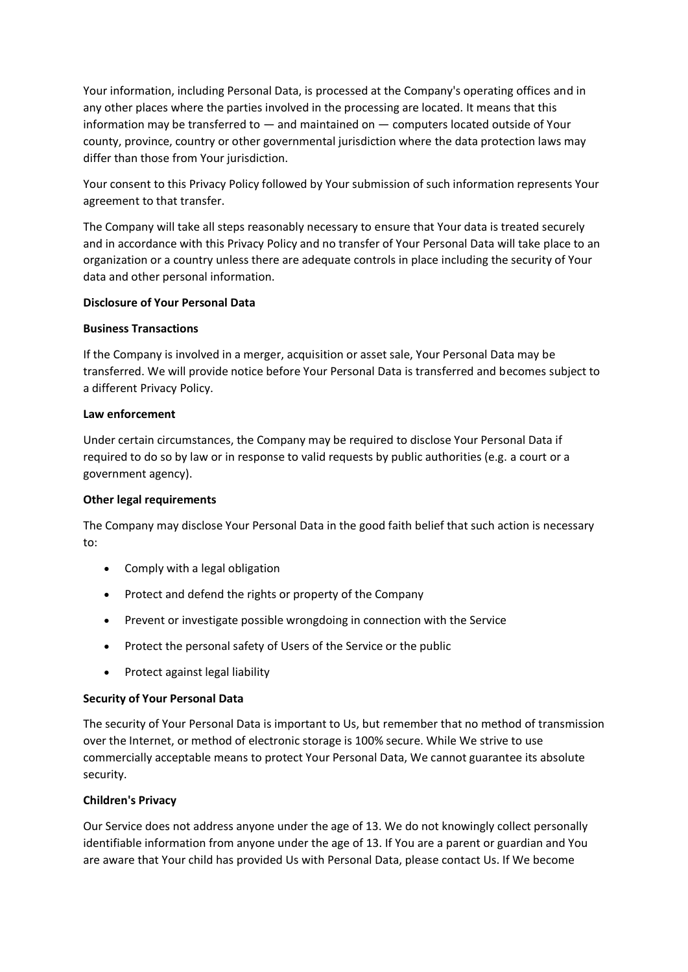Your information, including Personal Data, is processed at the Company's operating offices and in any other places where the parties involved in the processing are located. It means that this information may be transferred to — and maintained on — computers located outside of Your county, province, country or other governmental jurisdiction where the data protection laws may differ than those from Your jurisdiction.

Your consent to this Privacy Policy followed by Your submission of such information represents Your agreement to that transfer.

The Company will take all steps reasonably necessary to ensure that Your data is treated securely and in accordance with this Privacy Policy and no transfer of Your Personal Data will take place to an organization or a country unless there are adequate controls in place including the security of Your data and other personal information.

#### **Disclosure of Your Personal Data**

#### **Business Transactions**

If the Company is involved in a merger, acquisition or asset sale, Your Personal Data may be transferred. We will provide notice before Your Personal Data is transferred and becomes subject to a different Privacy Policy.

#### **Law enforcement**

Under certain circumstances, the Company may be required to disclose Your Personal Data if required to do so by law or in response to valid requests by public authorities (e.g. a court or a government agency).

#### **Other legal requirements**

The Company may disclose Your Personal Data in the good faith belief that such action is necessary to:

- Comply with a legal obligation
- Protect and defend the rights or property of the Company
- Prevent or investigate possible wrongdoing in connection with the Service
- Protect the personal safety of Users of the Service or the public
- Protect against legal liability

#### **Security of Your Personal Data**

The security of Your Personal Data is important to Us, but remember that no method of transmission over the Internet, or method of electronic storage is 100% secure. While We strive to use commercially acceptable means to protect Your Personal Data, We cannot guarantee its absolute security.

#### **Children's Privacy**

Our Service does not address anyone under the age of 13. We do not knowingly collect personally identifiable information from anyone under the age of 13. If You are a parent or guardian and You are aware that Your child has provided Us with Personal Data, please contact Us. If We become